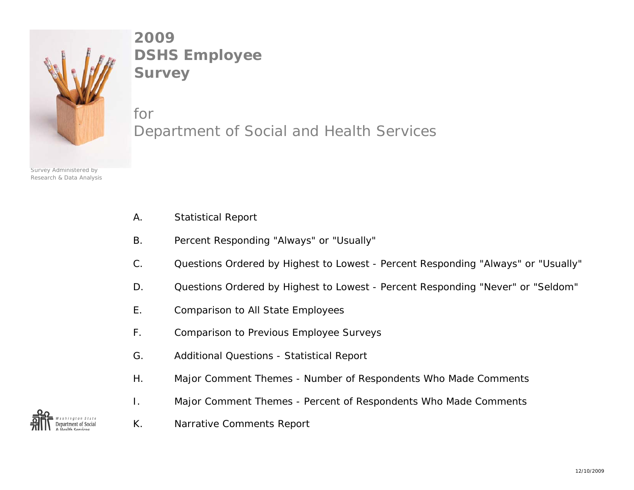

**2009DSHS Employee Survey**

forDepartment of Social and Health Services

- Survey Administered by Research & Data Analysis
- A. Statistical Report
- B. Percent Responding "Always" or "Usually"
- C. Questions Ordered by Highest to Lowest Percent Responding "Always" or "Usually"
- D. Questions Ordered by Highest to Lowest Percent Responding "Never" or "Seldom"
- E. Comparison to All State Employees
- F. Comparison to Previous Employee Surveys
- G. Additional Questions Statistical Report
- H. Major Comment Themes Number of Respondents Who Made Comments
- I. Major Comment Themes Percent of Respondents Who Made Comments



K. Narrative Comments Report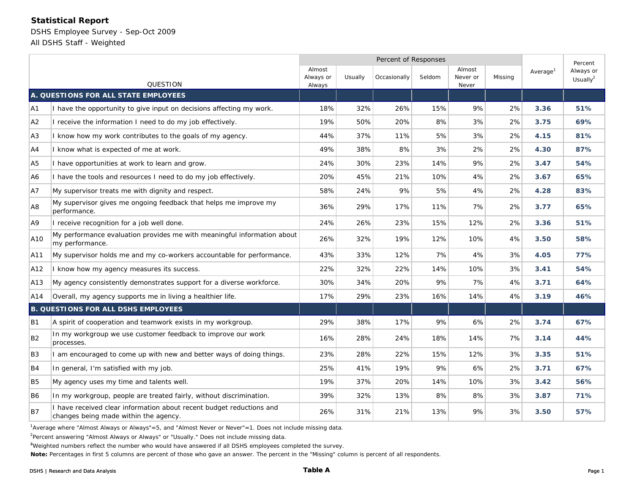# **Statistical Report**

DSHS Employee Survey - Sep-Oct 2009 All DSHS Staff - Weighted

|                                            |                                                                                                             | Percent of Responses                     |     |                        |     |                             |         |                      | Percent                  |
|--------------------------------------------|-------------------------------------------------------------------------------------------------------------|------------------------------------------|-----|------------------------|-----|-----------------------------|---------|----------------------|--------------------------|
| <b>QUESTION</b>                            |                                                                                                             | Almost<br>Always or<br>Usually<br>Always |     | Occasionally<br>Seldom |     | Almost<br>Never or<br>Never | Missing | Average <sup>1</sup> | Always or<br>Usually $2$ |
| A. QUESTIONS FOR ALL STATE EMPLOYEES       |                                                                                                             |                                          |     |                        |     |                             |         |                      |                          |
| A1                                         | have the opportunity to give input on decisions affecting my work.                                          | 18%                                      | 32% | 26%                    | 15% | 9%                          | 2%      | 3.36                 | 51%                      |
| A2                                         | I receive the information I need to do my job effectively.                                                  | 19%                                      | 50% | 20%                    | 8%  | 3%                          | 2%      | 3.75                 | 69%                      |
| A3                                         | know how my work contributes to the goals of my agency.                                                     | 44%                                      | 37% | 11%                    | 5%  | 3%                          | 2%      | 4.15                 | 81%                      |
| A4                                         | know what is expected of me at work.                                                                        | 49%                                      | 38% | 8%                     | 3%  | 2%                          | 2%      | 4.30                 | 87%                      |
| A <sub>5</sub>                             | have opportunities at work to learn and grow.                                                               | 24%                                      | 30% | 23%                    | 14% | 9%                          | 2%      | 3.47                 | 54%                      |
| A6                                         | have the tools and resources I need to do my job effectively.                                               | 20%                                      | 45% | 21%                    | 10% | 4%                          | 2%      | 3.67                 | 65%                      |
| A7                                         | My supervisor treats me with dignity and respect.                                                           | 58%                                      | 24% | 9%                     | 5%  | 4%                          | 2%      | 4.28                 | 83%                      |
| A <sub>8</sub>                             | My supervisor gives me ongoing feedback that helps me improve my<br>performance.                            | 36%                                      | 29% | 17%                    | 11% | 7%                          | 2%      | 3.77                 | 65%                      |
| A9                                         | I receive recognition for a job well done.                                                                  | 24%                                      | 26% | 23%                    | 15% | 12%                         | 2%      | 3.36                 | 51%                      |
| A10                                        | My performance evaluation provides me with meaningful information about<br>my performance.                  | 26%                                      | 32% | 19%                    | 12% | 10%                         | 4%      | 3.50                 | 58%                      |
| A11                                        | My supervisor holds me and my co-workers accountable for performance.                                       | 43%                                      | 33% | 12%                    | 7%  | 4%                          | 3%      | 4.05                 | 77%                      |
| A12                                        | I know how my agency measures its success.                                                                  | 22%                                      | 32% | 22%                    | 14% | 10%                         | 3%      | 3.41                 | 54%                      |
| A13                                        | My agency consistently demonstrates support for a diverse workforce.                                        | 30%                                      | 34% | 20%                    | 9%  | 7%                          | 4%      | 3.71                 | 64%                      |
| A14                                        | Overall, my agency supports me in living a healthier life.                                                  | 17%                                      | 29% | 23%                    | 16% | 14%                         | 4%      | 3.19                 | 46%                      |
| <b>B. QUESTIONS FOR ALL DSHS EMPLOYEES</b> |                                                                                                             |                                          |     |                        |     |                             |         |                      |                          |
| <b>B1</b>                                  | A spirit of cooperation and teamwork exists in my workgroup.                                                | 29%                                      | 38% | 17%                    | 9%  | 6%                          | 2%      | 3.74                 | 67%                      |
| <b>B2</b>                                  | In my workgroup we use customer feedback to improve our work<br>processes.                                  | 16%                                      | 28% | 24%                    | 18% | 14%                         | 7%      | 3.14                 | 44%                      |
| B3                                         | am encouraged to come up with new and better ways of doing things.                                          | 23%                                      | 28% | 22%                    | 15% | 12%                         | 3%      | 3.35                 | 51%                      |
| <b>B4</b>                                  | In general, I'm satisfied with my job.                                                                      | 25%                                      | 41% | 19%                    | 9%  | 6%                          | 2%      | 3.71                 | 67%                      |
| <b>B5</b>                                  | My agency uses my time and talents well.                                                                    | 19%                                      | 37% | 20%                    | 14% | 10%                         | 3%      | 3.42                 | 56%                      |
| <b>B6</b>                                  | In my workgroup, people are treated fairly, without discrimination.                                         | 39%                                      | 32% | 13%                    | 8%  | 8%                          | 3%      | 3.87                 | 71%                      |
| <b>B7</b>                                  | have received clear information about recent budget reductions and<br>changes being made within the agency. | 26%                                      | 31% | 21%                    | 13% | 9%                          | 3%      | 3.50                 | 57%                      |

<sup>1</sup>Average where "Almost Always or Always"=5, and "Almost Never or Never"=1. Does not include missing data.

<sup>2</sup>Percent answering "Almost Always or Always" or "Usually." Does not include missing data.

<sup>3</sup>Weighted numbers reflect the number who would have answered if all DSHS employees completed the survey.

**Note:** Percentages in first 5 columns are percent of those who gave an answer. The percent in the "Missing" column is percent of all respondents.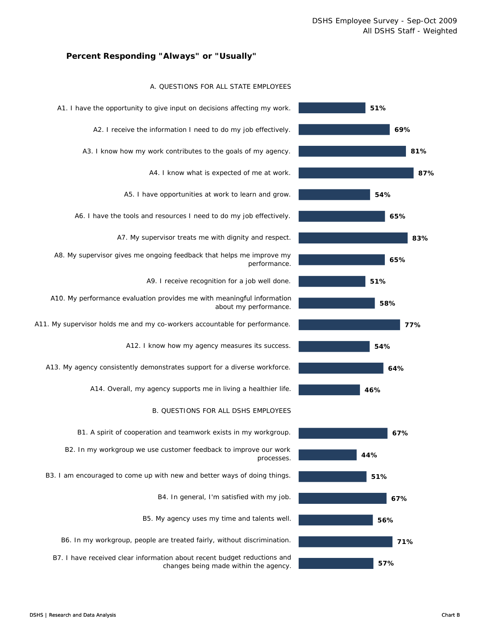### **Percent Responding "Always" or "Usually"**

#### A. QUESTIONS FOR ALL STATE EMPLOYEES

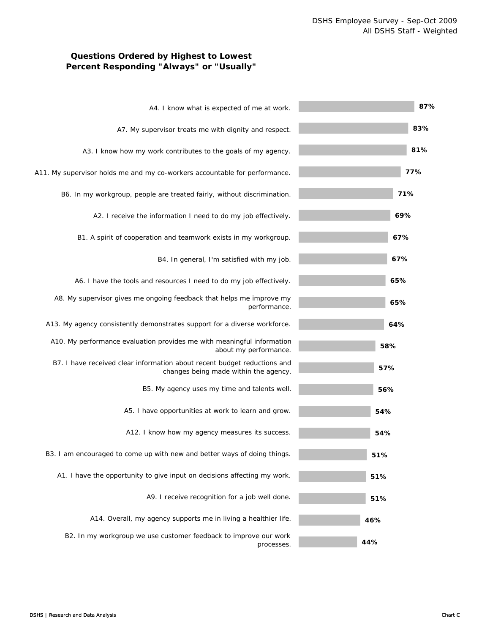# **Questions Ordered by Highest to Lowest Percent Responding "Always" or "Usually"**

| A4. I know what is expected of me at work.                                                                        | 87% |
|-------------------------------------------------------------------------------------------------------------------|-----|
| A7. My supervisor treats me with dignity and respect.                                                             | 83% |
| A3. I know how my work contributes to the goals of my agency.                                                     | 81% |
| A11. My supervisor holds me and my co-workers accountable for performance.                                        | 77% |
| B6. In my workgroup, people are treated fairly, without discrimination.                                           | 71% |
| A2. I receive the information I need to do my job effectively.                                                    | 69% |
| B1. A spirit of cooperation and teamwork exists in my workgroup.                                                  | 67% |
| B4. In general, I'm satisfied with my job.                                                                        | 67% |
| A6. I have the tools and resources I need to do my job effectively.                                               | 65% |
| A8. My supervisor gives me ongoing feedback that helps me improve my<br>performance.                              | 65% |
| A13. My agency consistently demonstrates support for a diverse workforce.                                         | 64% |
| A10. My performance evaluation provides me with meaningful information<br>about my performance.                   | 58% |
| B7. I have received clear information about recent budget reductions and<br>changes being made within the agency. | 57% |
| B5. My agency uses my time and talents well.                                                                      | 56% |
| A5. I have opportunities at work to learn and grow.                                                               | 54% |
| A12. I know how my agency measures its success.                                                                   | 54% |
| B3. I am encouraged to come up with new and better ways of doing things.                                          | 51% |
| A1. I have the opportunity to give input on decisions affecting my work.                                          | 51% |
| A9. I receive recognition for a job well done.                                                                    | 51% |
| A14. Overall, my agency supports me in living a healthier life.                                                   | 46% |
| B2. In my workgroup we use customer feedback to improve our work<br>processes.                                    | 44% |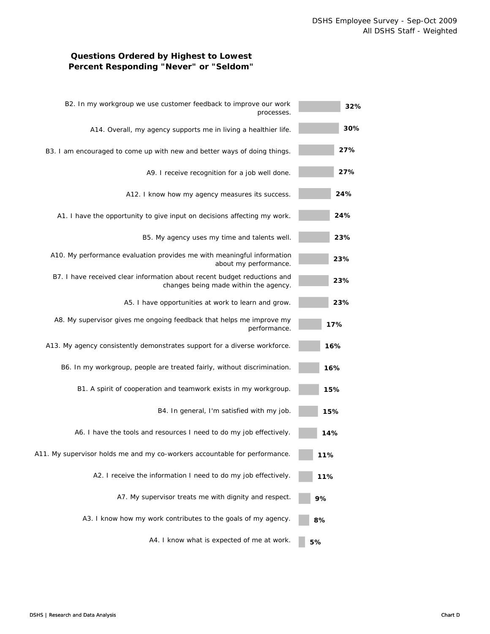# **Questions Ordered by Highest to Lowest Percent Responding "Never" or "Seldom"**

| 32% | B2. In my workgroup we use customer feedback to improve our work<br>processes.                                    |
|-----|-------------------------------------------------------------------------------------------------------------------|
| 30% | A14. Overall, my agency supports me in living a healthier life.                                                   |
| 27% | B3. I am encouraged to come up with new and better ways of doing things.                                          |
| 27% | A9. I receive recognition for a job well done.                                                                    |
| 24% | A12. I know how my agency measures its success.                                                                   |
| 24% | A1. I have the opportunity to give input on decisions affecting my work.                                          |
| 23% | B5. My agency uses my time and talents well.                                                                      |
| 23% | A10. My performance evaluation provides me with meaningful information<br>about my performance.                   |
| 23% | B7. I have received clear information about recent budget reductions and<br>changes being made within the agency. |
| 23% | A5. I have opportunities at work to learn and grow.                                                               |
| 17% | A8. My supervisor gives me ongoing feedback that helps me improve my<br>performance.                              |
| 16% | A13. My agency consistently demonstrates support for a diverse workforce.                                         |
| 16% | B6. In my workgroup, people are treated fairly, without discrimination.                                           |
| 15% | B1. A spirit of cooperation and teamwork exists in my workgroup.                                                  |
| 15% | B4. In general, I'm satisfied with my job.                                                                        |
| 14% | A6. I have the tools and resources I need to do my job effectively.                                               |
| 11% | A11. My supervisor holds me and my co-workers accountable for performance.                                        |
| 11% | A2. I receive the information I need to do my job effectively.                                                    |
| 9%  | A7. My supervisor treats me with dignity and respect.                                                             |
| 8%  | A3. I know how my work contributes to the goals of my agency.                                                     |
| 5%  | A4. I know what is expected of me at work.                                                                        |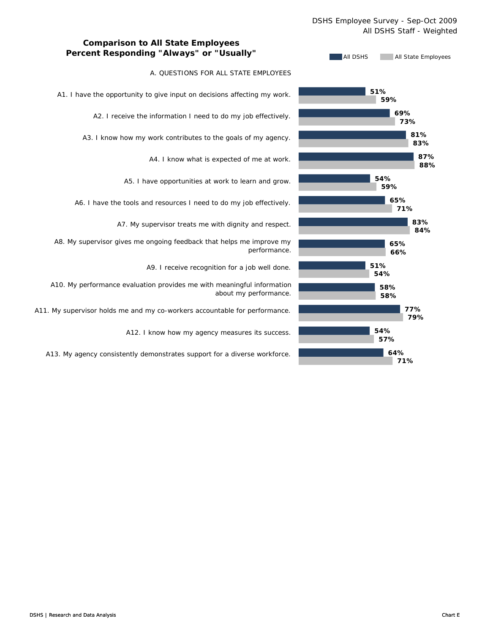### DSHS Employee Survey - Sep-Oct 2009 All DSHS Staff - Weighted



# **Comparison to All State Employees Percent Responding "Always" or "Usually"**

### A. QUESTIONS FOR ALL STATE EMPLOYEES

A1. I have the opportunity to give input on decisions affecting my work.

A2. I receive the information I need to do my job effectively.

A3. I know how my work contributes to the goals of my agency.

A4. I know what is expected of me at work.

A5. I have opportunities at work to learn and grow.

A6. I have the tools and resources I need to do my job effectively.

A7. My supervisor treats me with dignity and respect.

A8. My supervisor gives me ongoing feedback that helps me improve my performance.

A9. I receive recognition for a job well done.

A10. My performance evaluation provides me with meaningful information about my performance.

A11. My supervisor holds me and my co-workers accountable for performance.

A12. I know how my agency measures its success.

A13. My agency consistently demonstrates support for a diverse workforce.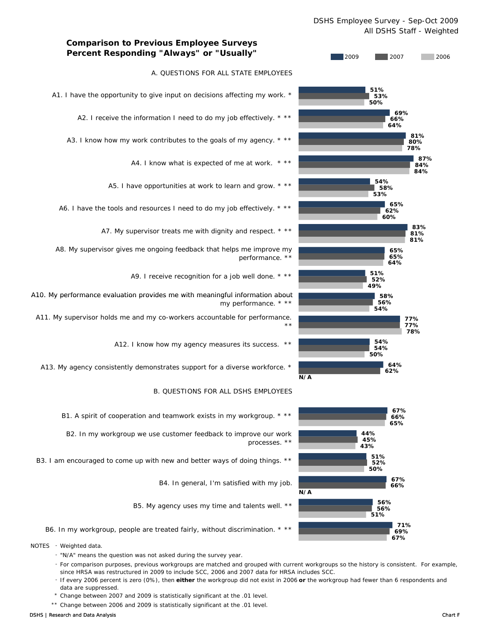### DSHS Employee Survey - Sep-Oct 2009 All DSHS Staff - Weighted



B5. My agency uses my time and talents well. \*\*

B6. In my workgroup, people are treated fairly, without discrimination. \* \*\*

- NOTES Weighted data.
	- "N/A" means the question was not asked during the survey year.
	- For comparison purposes, previous workgroups are matched and grouped with current workgroups so the history is consistent. For example, since HRSA was restructured in 2009 to include SCC, 2006 and 2007 data for HRSA includes SCC.
	- If every 2006 percent is zero (0%), then **either** the workgroup did not exist in 2006 **or** the workgroup had fewer than 6 respondents and data are suppressed.
	- \* Change between 2007 and 2009 is statistically significant at the .01 level.
	- \*\* Change between 2006 and 2009 is statistically significant at the .01 level.

**67%**

**69%**

**71%**

**51%**

**56%**

**56%**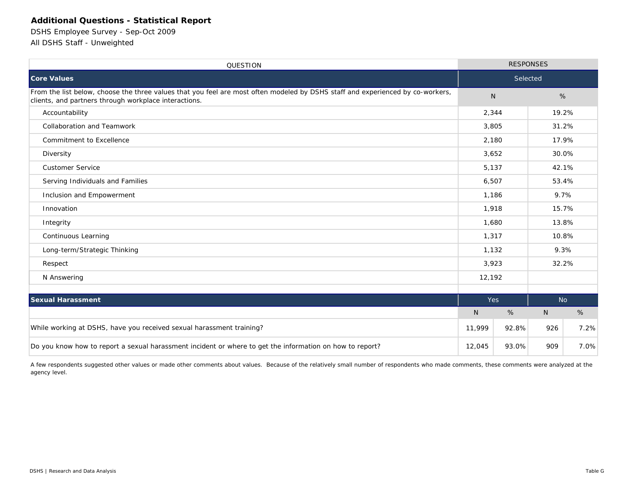# **Additional Questions - Statistical Report**

DSHS Employee Survey - Sep-Oct 2009 All DSHS Staff - Unweighted

| <b>QUESTION</b>                                                                                                                                                                         | <b>RESPONSES</b> |       |              |       |  |
|-----------------------------------------------------------------------------------------------------------------------------------------------------------------------------------------|------------------|-------|--------------|-------|--|
| <b>Core Values</b>                                                                                                                                                                      | Selected         |       |              |       |  |
| From the list below, choose the three values that you feel are most often modeled by DSHS staff and experienced by co-workers,<br>clients, and partners through workplace interactions. | N <sub>1</sub>   |       | %            |       |  |
| Accountability                                                                                                                                                                          | 2,344            |       |              | 19.2% |  |
| <b>Collaboration and Teamwork</b>                                                                                                                                                       | 3,805            |       | 31.2%        |       |  |
| Commitment to Excellence                                                                                                                                                                | 2,180            |       | 17.9%        |       |  |
| Diversity                                                                                                                                                                               | 3,652            |       | 30.0%        |       |  |
| <b>Customer Service</b>                                                                                                                                                                 | 5.137            |       | 42.1%        |       |  |
| Serving Individuals and Families                                                                                                                                                        | 6,507            |       | 53.4%        |       |  |
| Inclusion and Empowerment                                                                                                                                                               | 1,186            |       | 9.7%         |       |  |
| Innovation                                                                                                                                                                              | 1,918            |       | 15.7%        |       |  |
| Integrity                                                                                                                                                                               | 1,680            |       | 13.8%        |       |  |
| Continuous Learning                                                                                                                                                                     | 1,317            |       | 10.8%        |       |  |
| Long-term/Strategic Thinking                                                                                                                                                            | 1,132            |       | 9.3%         |       |  |
| Respect                                                                                                                                                                                 | 3,923            |       | 32.2%        |       |  |
| N Answering                                                                                                                                                                             | 12,192           |       |              |       |  |
|                                                                                                                                                                                         |                  |       |              |       |  |
| <b>Sexual Harassment</b>                                                                                                                                                                | <b>Yes</b>       |       | <b>No</b>    |       |  |
|                                                                                                                                                                                         | N                | %     | $\mathsf{N}$ | %     |  |
| While working at DSHS, have you received sexual harassment training?                                                                                                                    |                  |       | 926          | 7.2%  |  |
| Do you know how to report a sexual harassment incident or where to get the information on how to report?                                                                                | 12,045           | 93.0% | 909          | 7.0%  |  |

A few respondents suggested other values or made other comments about values. Because of the relatively small number of respondents who made comments, these comments were analyzed at the agency level.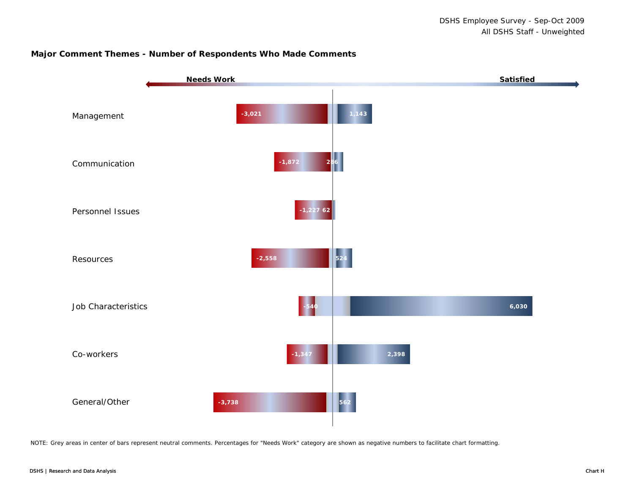### **Major Comment Themes - Number of Respondents Who Made Comments**



NOTE: Grey areas in center of bars represent neutral comments. Percentages for "Needs Work" category are shown as negative numbers to facilitate chart formatting.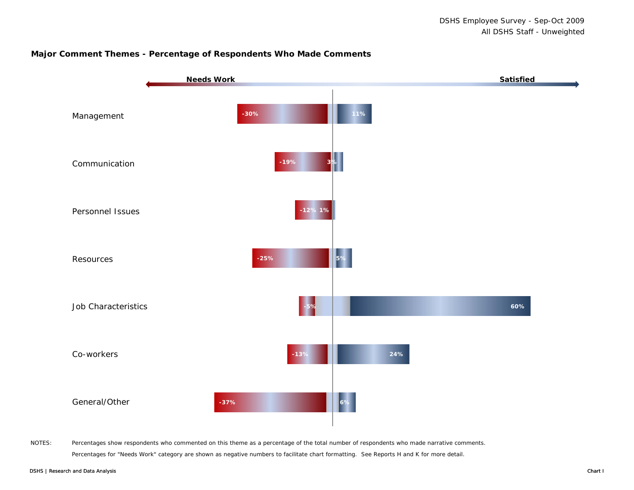### **Major Comment Themes - Percentage of Respondents Who Made Comments**



NOTES: Percentages show respondents who commented on this theme as a percentage of the total number of respondents who made narrative comments. Percentages for "Needs Work" category are shown as negative numbers to facilitate chart formatting. See Reports H and K for more detail.